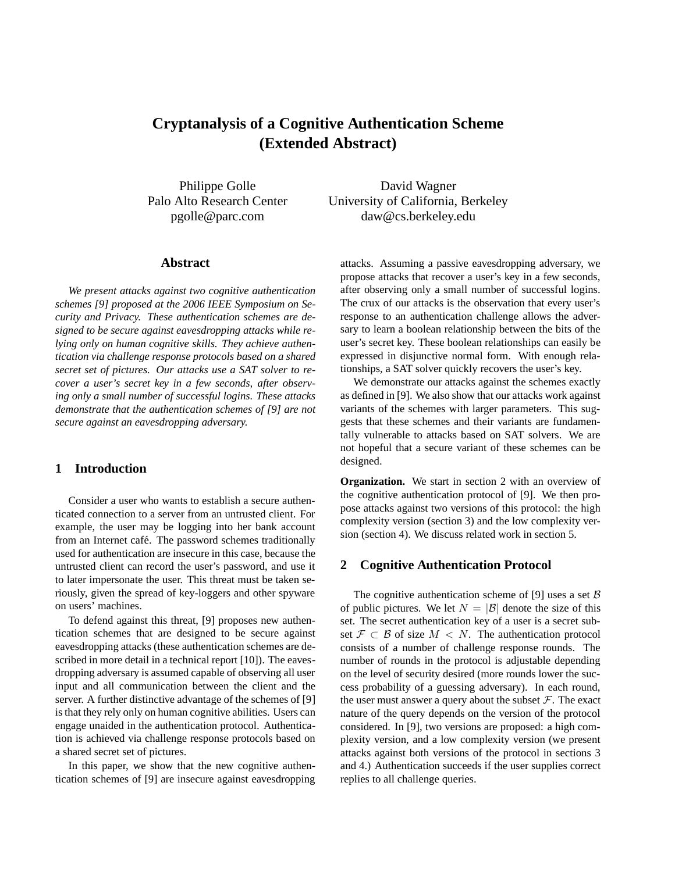# **Cryptanalysis of a Cognitive Authentication Scheme (Extended Abstract)**

Philippe Golle Palo Alto Research Center pgolle@parc.com

**Abstract**

*We present attacks against two cognitive authentication schemes [9] proposed at the 2006 IEEE Symposium on Security and Privacy. These authentication schemes are designed to be secure against eavesdropping attacks while relying only on human cognitive skills. They achieve authentication via challenge response protocols based on a shared secret set of pictures. Our attacks use a SAT solver to recover a user's secret key in a few seconds, after observing only a small number of successful logins. These attacks demonstrate that the authentication schemes of [9] are not secure against an eavesdropping adversary.*

# **1 Introduction**

Consider a user who wants to establish a secure authenticated connection to a server from an untrusted client. For example, the user may be logging into her bank account from an Internet café. The password schemes traditionally used for authentication are insecure in this case, because the untrusted client can record the user's password, and use it to later impersonate the user. This threat must be taken seriously, given the spread of key-loggers and other spyware on users' machines.

To defend against this threat, [9] proposes new authentication schemes that are designed to be secure against eavesdropping attacks (these authentication schemes are described in more detail in a technical report [10]). The eavesdropping adversary is assumed capable of observing all user input and all communication between the client and the server. A further distinctive advantage of the schemes of [9] is that they rely only on human cognitive abilities. Users can engage unaided in the authentication protocol. Authentication is achieved via challenge response protocols based on a shared secret set of pictures.

In this paper, we show that the new cognitive authentication schemes of [9] are insecure against eavesdropping

David Wagner University of California, Berkeley daw@cs.berkeley.edu

attacks. Assuming a passive eavesdropping adversary, we propose attacks that recover a user's key in a few seconds, after observing only a small number of successful logins. The crux of our attacks is the observation that every user's response to an authentication challenge allows the adversary to learn a boolean relationship between the bits of the user's secret key. These boolean relationships can easily be expressed in disjunctive normal form. With enough relationships, a SAT solver quickly recovers the user's key.

We demonstrate our attacks against the schemes exactly as defined in [9]. We also show that our attacks work against variants of the schemes with larger parameters. This suggests that these schemes and their variants are fundamentally vulnerable to attacks based on SAT solvers. We are not hopeful that a secure variant of these schemes can be designed.

**Organization.** We start in section 2 with an overview of the cognitive authentication protocol of [9]. We then propose attacks against two versions of this protocol: the high complexity version (section 3) and the low complexity version (section 4). We discuss related work in section 5.

#### **2 Cognitive Authentication Protocol**

The cognitive authentication scheme of [9] uses a set  $\beta$ of public pictures. We let  $N = |\mathcal{B}|$  denote the size of this set. The secret authentication key of a user is a secret subset  $\mathcal{F} \subset \mathcal{B}$  of size  $M \subset N$ . The authentication protocol consists of a number of challenge response rounds. The number of rounds in the protocol is adjustable depending on the level of security desired (more rounds lower the success probability of a guessing adversary). In each round, the user must answer a query about the subset  $\mathcal F$ . The exact nature of the query depends on the version of the protocol considered. In [9], two versions are proposed: a high complexity version, and a low complexity version (we present attacks against both versions of the protocol in sections 3 and 4.) Authentication succeeds if the user supplies correct replies to all challenge queries.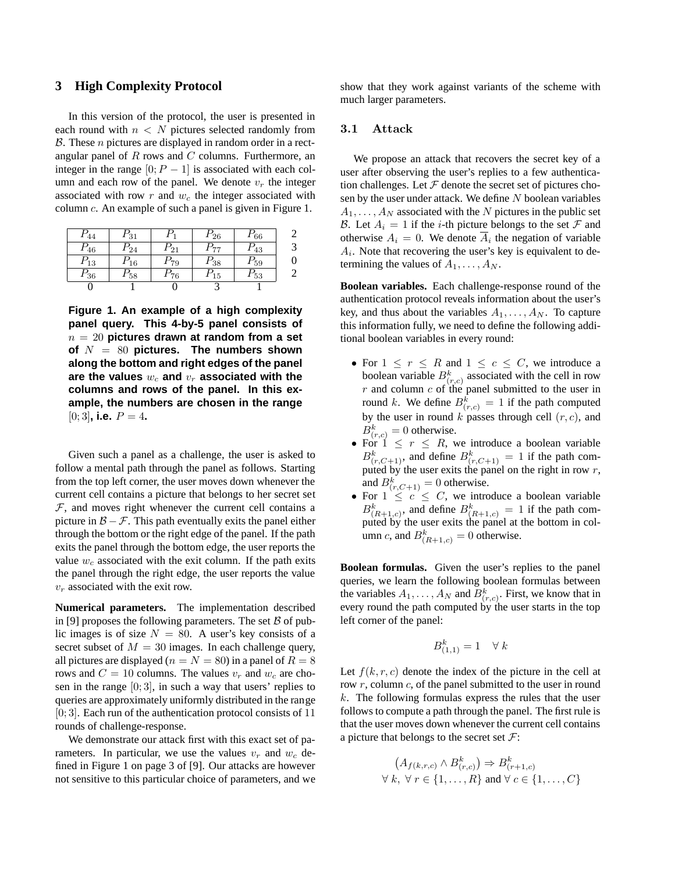## **3 High Complexity Protocol**

In this version of the protocol, the user is presented in each round with  $n < N$  pictures selected randomly from  $\beta$ . These *n* pictures are displayed in random order in a rectangular panel of  $R$  rows and  $C$  columns. Furthermore, an integer in the range  $[0; P - 1]$  is associated with each column and each row of the panel. We denote  $v_r$  the integer associated with row  $r$  and  $w_c$  the integer associated with column c. An example of such a panel is given in Figure 1.

| $P_{44}$ | $P_{31}$ | $P_{\rm 1}$ | $P_{26}$ | $P_{66}$ |   |
|----------|----------|-------------|----------|----------|---|
| $P_{46}$ | $P_{24}$ | $P_{21}$    | $P_{77}$ | $P_{43}$ |   |
| $P_{13}$ | $P_{16}$ | $P_{79}$    | $P_{38}$ | $P_{59}$ | 0 |
| $P_{36}$ | $P_{58}$ | $P_{76}$    | $P_{15}$ | $P_{53}$ |   |
|          |          |             |          |          |   |

**Figure 1. An example of a high complexity panel query. This 4-by-5 panel consists of** n = 20 **pictures drawn at random from a set of** N = 80 **pictures. The numbers shown along the bottom and right edges of the panel** are the values  $w_c$  and  $v_r$  associated with the **columns and rows of the panel. In this example, the numbers are chosen in the range**  $[0;3]$ , i.e.  $P = 4$ .

Given such a panel as a challenge, the user is asked to follow a mental path through the panel as follows. Starting from the top left corner, the user moves down whenever the current cell contains a picture that belongs to her secret set  $F$ , and moves right whenever the current cell contains a picture in  $\mathcal{B} - \mathcal{F}$ . This path eventually exits the panel either through the bottom or the right edge of the panel. If the path exits the panel through the bottom edge, the user reports the value  $w_c$  associated with the exit column. If the path exits the panel through the right edge, the user reports the value  $v_r$  associated with the exit row.

**Numerical parameters.** The implementation described in [9] proposes the following parameters. The set  $\beta$  of public images is of size  $N = 80$ . A user's key consists of a secret subset of  $M = 30$  images. In each challenge query, all pictures are displayed ( $n = N = 80$ ) in a panel of  $R = 8$ rows and  $C = 10$  columns. The values  $v_r$  and  $w_c$  are chosen in the range  $[0;3]$ , in such a way that users' replies to queries are approximately uniformly distributed in the range  $[0;3]$ . Each run of the authentication protocol consists of 11 rounds of challenge-response.

We demonstrate our attack first with this exact set of parameters. In particular, we use the values  $v_r$  and  $w_c$  defined in Figure 1 on page 3 of [9]. Our attacks are however not sensitive to this particular choice of parameters, and we show that they work against variants of the scheme with much larger parameters.

#### 3.1 Attack

We propose an attack that recovers the secret key of a user after observing the user's replies to a few authentication challenges. Let  $\mathcal F$  denote the secret set of pictures chosen by the user under attack. We define  $N$  boolean variables  $A_1, \ldots, A_N$  associated with the N pictures in the public set B. Let  $A_i = 1$  if the *i*-th picture belongs to the set F and otherwise  $A_i = 0$ . We denote  $A_i$  the negation of variable  $A_i$ . Note that recovering the user's key is equivalent to determining the values of  $A_1, \ldots, A_N$ .

**Boolean variables.** Each challenge-response round of the authentication protocol reveals information about the user's key, and thus about the variables  $A_1, \ldots, A_N$ . To capture this information fully, we need to define the following additional boolean variables in every round:

- For  $1 \le r \le R$  and  $1 \le c \le C$ , we introduce a boolean variable  $B_{(r,c)}^k$  associated with the cell in row  $r$  and column  $c$  of the panel submitted to the user in round k. We define  $B_{(r,c)}^k = 1$  if the path computed by the user in round  $k$  passes through cell  $(r, c)$ , and  $B_{(r,c)}^k = 0$  otherwise.
- For  $1 \leq r \leq R$ , we introduce a boolean variable  $B_{(r,C+1)}^k$ , and define  $B_{(r,C+1)}^k = 1$  if the path computed by the user exits the panel on the right in row  $r$ , and  $B_{(r,C+1)}^k = 0$  otherwise.
- For  $1 \leq c \leq C$ , we introduce a boolean variable  $B_{(R+1,c)}^k$ , and define  $B_{(R+1,c)}^k = 1$  if the path computed by the user exits the panel at the bottom in column *c*, and  $B_{(R+1,c)}^k = 0$  otherwise.

**Boolean formulas.** Given the user's replies to the panel queries, we learn the following boolean formulas between the variables  $A_1, \ldots, A_N$  and  $B_{(r,c)}^k$ . First, we know that in every round the path computed by the user starts in the top left corner of the panel:

$$
B^k_{(1,1)} = 1 \quad \forall \ k
$$

Let  $f(k, r, c)$  denote the index of the picture in the cell at row  $r$ , column  $c$ , of the panel submitted to the user in round  $k$ . The following formulas express the rules that the user follows to compute a path through the panel. The first rule is that the user moves down whenever the current cell contains a picture that belongs to the secret set  $\mathcal{F}$ :

$$
(A_{f(k,r,c)} \wedge B_{(r,c)}^k) \Rightarrow B_{(r+1,c)}^k
$$
  
 $\forall k, \forall r \in \{1, ..., R\}$  and  $\forall c \in \{1, ..., C\}$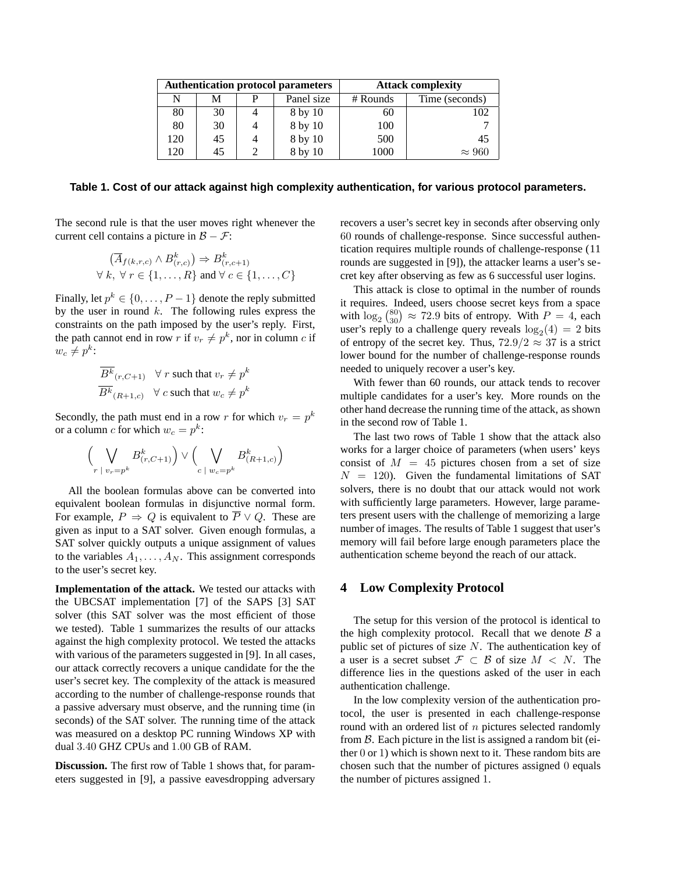| <b>Authentication protocol parameters</b> |    |  |            | <b>Attack complexity</b> |                |
|-------------------------------------------|----|--|------------|--------------------------|----------------|
| N                                         | м  |  | Panel size | $#$ Rounds               | Time (seconds) |
| 80                                        | 30 |  | 8 by 10    | 60                       | 102            |
| 80                                        | 30 |  | 8 by 10    | 100                      |                |
| 120                                       | 45 |  | 8 by 10    | 500                      | 45             |
| 120                                       | 45 |  | 8 by 10    | 1000                     | $\approx 960$  |

#### **Table 1. Cost of our attack against high complexity authentication, for various protocol parameters.**

The second rule is that the user moves right whenever the current cell contains a picture in  $\mathcal{B} - \mathcal{F}$ :

$$
(\overline{A}_{f(k,r,c)} \land B_{(r,c)}^k) \Rightarrow B_{(r,c+1)}^k
$$
  

$$
\forall k, \forall r \in \{1, ..., R\} \text{ and } \forall c \in \{1, ..., C\}
$$

Finally, let  $p^k \in \{0, \ldots, P-1\}$  denote the reply submitted by the user in round  $k$ . The following rules express the constraints on the path imposed by the user's reply. First, the path cannot end in row r if  $v_r \neq p^k$ , nor in column c if  $w_c \neq p^k$ :

$$
\frac{\overline{B^k}_{(r,C+1)}}{\overline{B^k}_{(R+1,c)}} \quad \forall \ r \text{ such that } v_r \neq p^k
$$
  

$$
\overline{B^k}_{(R+1,c)} \quad \forall \ c \text{ such that } w_c \neq p^k
$$

Secondly, the path must end in a row r for which  $v_r = p^k$ or a column c for which  $w_c = p^k$ :

$$
\left(\bigvee_{r \; | \; v_r = p^k} B^k_{(r,C+1)}\right) \vee \left(\bigvee_{c \; | \; w_c = p^k} B^k_{(R+1,c)}\right)
$$

All the boolean formulas above can be converted into equivalent boolean formulas in disjunctive normal form. For example,  $P \Rightarrow Q$  is equivalent to  $\overline{P} \vee Q$ . These are given as input to a SAT solver. Given enough formulas, a SAT solver quickly outputs a unique assignment of values to the variables  $A_1, \ldots, A_N$ . This assignment corresponds to the user's secret key.

**Implementation of the attack.** We tested our attacks with the UBCSAT implementation [7] of the SAPS [3] SAT solver (this SAT solver was the most efficient of those we tested). Table 1 summarizes the results of our attacks against the high complexity protocol. We tested the attacks with various of the parameters suggested in [9]. In all cases, our attack correctly recovers a unique candidate for the the user's secret key. The complexity of the attack is measured according to the number of challenge-response rounds that a passive adversary must observe, and the running time (in seconds) of the SAT solver. The running time of the attack was measured on a desktop PC running Windows XP with dual 3.40 GHZ CPUs and 1.00 GB of RAM.

**Discussion.** The first row of Table 1 shows that, for parameters suggested in [9], a passive eavesdropping adversary recovers a user's secret key in seconds after observing only 60 rounds of challenge-response. Since successful authentication requires multiple rounds of challenge-response (11 rounds are suggested in [9]), the attacker learns a user's secret key after observing as few as 6 successful user logins.

This attack is close to optimal in the number of rounds it requires. Indeed, users choose secret keys from a space with  $\log_2 \binom{80}{30} \approx 72.9$  bits of entropy. With  $P = 4$ , each user's reply to a challenge query reveals  $log_2(4) = 2$  bits of entropy of the secret key. Thus,  $72.9/2 \approx 37$  is a strict lower bound for the number of challenge-response rounds needed to uniquely recover a user's key.

With fewer than 60 rounds, our attack tends to recover multiple candidates for a user's key. More rounds on the other hand decrease the running time of the attack, as shown in the second row of Table 1.

The last two rows of Table 1 show that the attack also works for a larger choice of parameters (when users' keys consist of  $M = 45$  pictures chosen from a set of size  $N = 120$ . Given the fundamental limitations of SAT solvers, there is no doubt that our attack would not work with sufficiently large parameters. However, large parameters present users with the challenge of memorizing a large number of images. The results of Table 1 suggest that user's memory will fail before large enough parameters place the authentication scheme beyond the reach of our attack.

## **4 Low Complexity Protocol**

The setup for this version of the protocol is identical to the high complexity protocol. Recall that we denote  $\beta$  a public set of pictures of size  $N$ . The authentication key of a user is a secret subset  $\mathcal{F} \subset \mathcal{B}$  of size  $M \subset N$ . The difference lies in the questions asked of the user in each authentication challenge.

In the low complexity version of the authentication protocol, the user is presented in each challenge-response round with an ordered list of  $n$  pictures selected randomly from B. Each picture in the list is assigned a random bit (either 0 or 1) which is shown next to it. These random bits are chosen such that the number of pictures assigned 0 equals the number of pictures assigned 1.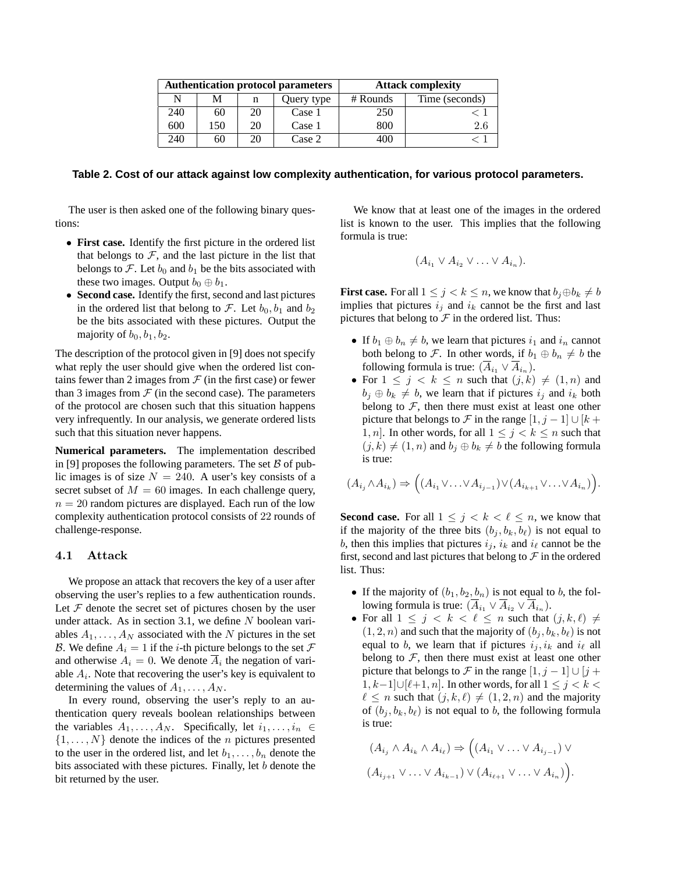| <b>Authentication protocol parameters</b> |     |    |            | <b>Attack complexity</b> |                |
|-------------------------------------------|-----|----|------------|--------------------------|----------------|
| N                                         | м   | n  | Query type | $#$ Rounds               | Time (seconds) |
| 240                                       | 60  | 20 | Case 1     | 250                      |                |
| 600                                       | 150 | 20 | Case 1     | 800                      | 2.6            |
| 240                                       | 60  | 20 | Case 2     | 400                      |                |

#### **Table 2. Cost of our attack against low complexity authentication, for various protocol parameters.**

The user is then asked one of the following binary questions:

- **First case.** Identify the first picture in the ordered list that belongs to  $F$ , and the last picture in the list that belongs to  $\mathcal F$ . Let  $b_0$  and  $b_1$  be the bits associated with these two images. Output  $b_0 \oplus b_1$ .
- **Second case.** Identify the first, second and last pictures in the ordered list that belong to  $\mathcal{F}$ . Let  $b_0, b_1$  and  $b_2$ be the bits associated with these pictures. Output the majority of  $b_0, b_1, b_2$ .

The description of the protocol given in [9] does not specify what reply the user should give when the ordered list contains fewer than 2 images from  $\mathcal F$  (in the first case) or fewer than 3 images from  $\mathcal F$  (in the second case). The parameters of the protocol are chosen such that this situation happens very infrequently. In our analysis, we generate ordered lists such that this situation never happens.

**Numerical parameters.** The implementation described in [9] proposes the following parameters. The set  $\beta$  of public images is of size  $N = 240$ . A user's key consists of a secret subset of  $M = 60$  images. In each challenge query,  $n = 20$  random pictures are displayed. Each run of the low complexity authentication protocol consists of 22 rounds of challenge-response.

#### 4.1 Attack

We propose an attack that recovers the key of a user after observing the user's replies to a few authentication rounds. Let  $F$  denote the secret set of pictures chosen by the user under attack. As in section 3.1, we define  $N$  boolean variables  $A_1, \ldots, A_N$  associated with the N pictures in the set B. We define  $A_i = 1$  if the *i*-th picture belongs to the set  $\mathcal F$ and otherwise  $A_i = 0$ . We denote  $A_i$  the negation of variable  $A_i$ . Note that recovering the user's key is equivalent to determining the values of  $A_1, \ldots, A_N$ .

In every round, observing the user's reply to an authentication query reveals boolean relationships between the variables  $A_1, \ldots, A_N$ . Specifically, let  $i_1, \ldots, i_n \in$  $\{1,\ldots,N\}$  denote the indices of the *n* pictures presented to the user in the ordered list, and let  $b_1, \ldots, b_n$  denote the bits associated with these pictures. Finally, let b denote the bit returned by the user.

We know that at least one of the images in the ordered list is known to the user. This implies that the following formula is true:

$$
(A_{i_1} \vee A_{i_2} \vee \ldots \vee A_{i_n}).
$$

**First case.** For all  $1 \leq j \leq k \leq n$ , we know that  $b_j \oplus b_k \neq b$ implies that pictures  $i_j$  and  $i_k$  cannot be the first and last pictures that belong to  $\mathcal F$  in the ordered list. Thus:

- If  $b_1 \oplus b_n \neq b$ , we learn that pictures  $i_1$  and  $i_n$  cannot both belong to F. In other words, if  $b_1 \oplus b_n \neq b$  the following formula is true:  $(A_{i_1} \vee A_{i_n}).$
- For  $1 \leq j \leq k \leq n$  such that  $(j,k) \neq (1,n)$  and  $b_j \oplus b_k \neq b$ , we learn that if pictures  $i_j$  and  $i_k$  both belong to  $F$ , then there must exist at least one other picture that belongs to F in the range  $[1, j - 1] \cup [k + 1]$ 1, n. In other words, for all  $1 \leq j \leq k \leq n$  such that  $(j,k) \neq (1,n)$  and  $b_j \oplus b_k \neq b$  the following formula is true:

$$
(A_{i_j} \wedge A_{i_k}) \Rightarrow ((A_{i_1} \vee \ldots \vee A_{i_{j-1}}) \vee (A_{i_{k+1}} \vee \ldots \vee A_{i_n})).
$$

**Second case.** For all  $1 \leq j \leq k \leq \ell \leq n$ , we know that if the majority of the three bits  $(b_j, b_k, b_\ell)$  is not equal to b, then this implies that pictures  $i_j$ ,  $i_k$  and  $i_\ell$  cannot be the first, second and last pictures that belong to  $\mathcal F$  in the ordered list. Thus:

- If the majority of  $(b_1, b_2, b_n)$  is not equal to b, the following formula is true:  $(\overline{A}_{i_1} \vee \overline{A}_{i_2} \vee \overline{A}_{i_n}).$
- For all  $1 \leq j \leq k \leq \ell \leq n$  such that  $(j, k, \ell) \neq$  $(1, 2, n)$  and such that the majority of  $(b_i, b_k, b_\ell)$  is not equal to b, we learn that if pictures  $i_j, i_k$  and  $i_\ell$  all belong to  $F$ , then there must exist at least one other picture that belongs to F in the range  $[1, j - 1] \cup [j + 1]$ 1, k−1 $\cup$ [ $\ell+1$ , n]. In other words, for all  $1 \leq j < k <$  $\ell \leq n$  such that  $(j, k, \ell) \neq (1, 2, n)$  and the majority of  $(b_i, b_k, b_\ell)$  is not equal to b, the following formula is true:

$$
(A_{i_j} \wedge A_{i_k} \wedge A_{i_\ell}) \Rightarrow ((A_{i_1} \vee \ldots \vee A_{i_{j-1}}) \vee (A_{i_{j+1}} \vee \ldots \vee A_{i_{k-1}}))
$$

$$
(A_{i_{j+1}} \vee \ldots \vee A_{i_{k-1}}) \vee (A_{i_{\ell+1}} \vee \ldots \vee A_{i_n})).
$$